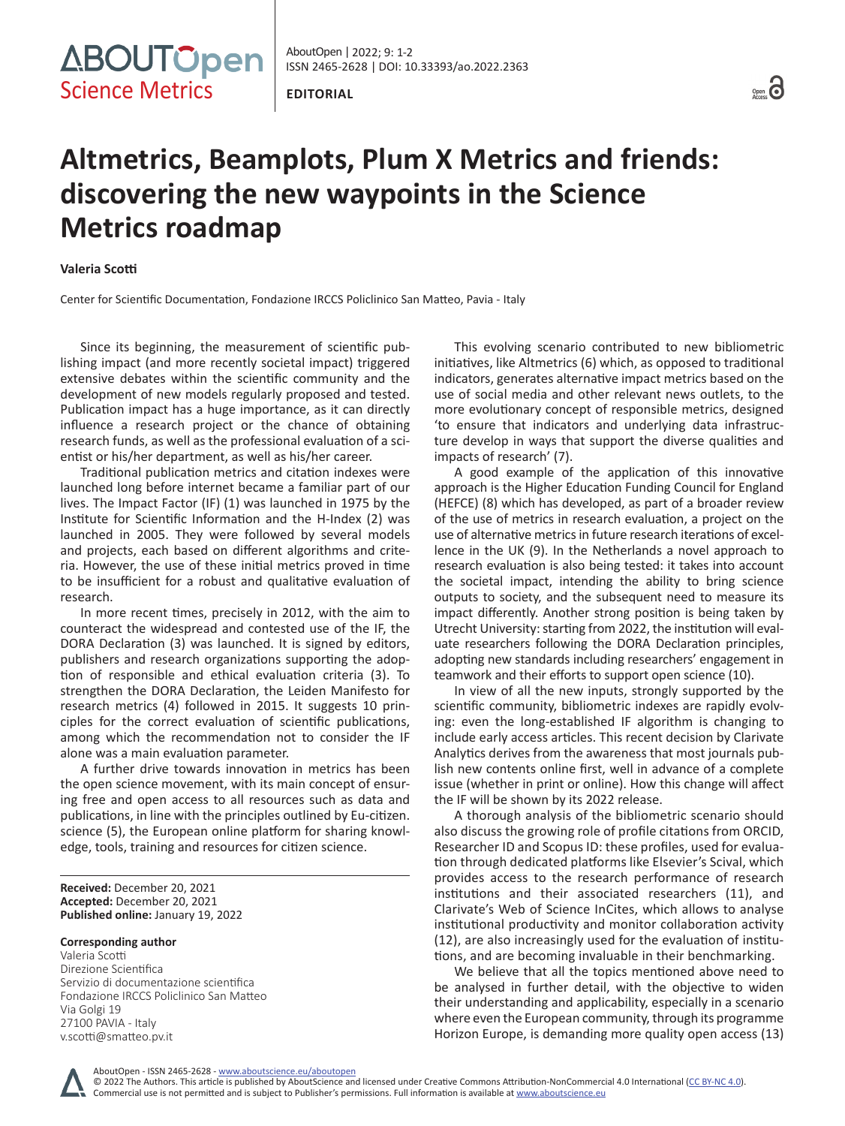

ISSN 2465-2628 | DOI: [10.33393/ao.2022.2](https://doi.org/10.33393/ao.2022.2363)363 AboutOpen | 2022; 9: 1-2

**EDITORIAL**



# **Altmetrics, Beamplots, Plum X Metrics and friends: discovering the new waypoints in the Science Metrics roadmap**

### **Valeria Scotti**

Center for Scientific Documentation, Fondazione IRCCS Policlinico San Matteo, Pavia - Italy

Since its beginning, the measurement of scientific publishing impact (and more recently societal impact) triggered extensive debates within the scientific community and the development of new models regularly proposed and tested. Publication impact has a huge importance, as it can directly influence a research project or the chance of obtaining research funds, as well as the professional evaluation of a scientist or his/her department, as well as his/her career.

Traditional publication metrics and citation indexes were launched long before internet became a familiar part of our lives. The Impact Factor (IF) (1) was launched in 1975 by the Institute for Scientific Information and the H-Index (2) was launched in 2005. They were followed by several models and projects, each based on different algorithms and criteria. However, the use of these initial metrics proved in time to be insufficient for a robust and qualitative evaluation of research.

In more recent times, precisely in 2012, with the aim to counteract the widespread and contested use of the IF, the DORA Declaration (3) was launched. It is signed by editors, publishers and research organizations supporting the adoption of responsible and ethical evaluation criteria (3). To strengthen the DORA Declaration, the Leiden Manifesto for research metrics (4) followed in 2015. It suggests 10 principles for the correct evaluation of scientific publications, among which the recommendation not to consider the IF alone was a main evaluation parameter.

A further drive towards innovation in metrics has been the open science movement, with its main concept of ensuring free and open access to all resources such as data and publications, in line with the principles outlined by Eu-citizen. science (5), the European online platform for sharing knowledge, tools, training and resources for citizen science.

**Received:** December 20, 2021 **Accepted:** December 20, 2021 **Published online:** January 19, 2022

#### **Corresponding author**

Valeria Scotti Direzione Scientifica Servizio di documentazione scientifica Fondazione IRCCS Policlinico San Matteo Via Golgi 19 27100 PAVIA - Italy [v.scotti@smatteo.pv.it](mailto:v.scotti@smatteo.pv.it)

This evolving scenario contributed to new bibliometric initiatives, like Altmetrics (6) which, as opposed to traditional indicators, generates alternative impact metrics based on the use of social media and other relevant news outlets, to the more evolutionary concept of responsible metrics, designed 'to ensure that indicators and underlying data infrastructure develop in ways that support the diverse qualities and impacts of research' (7).

A good example of the application of this innovative approach is the Higher Education Funding Council for England (HEFCE) (8) which has developed, as part of a broader review of the use of metrics in research evaluation, a project on the use of alternative metrics in future research iterations of excellence in the UK (9). In the Netherlands a novel approach to research evaluation is also being tested: it takes into account the societal impact, intending the ability to bring science outputs to society, and the subsequent need to measure its impact differently. Another strong position is being taken by Utrecht University: starting from 2022, the institution will evaluate researchers following the DORA Declaration principles, adopting new standards including researchers' engagement in teamwork and their efforts to support open science (10).

In view of all the new inputs, strongly supported by the scientific community, bibliometric indexes are rapidly evolving: even the long-established IF algorithm is changing to include early access articles. This recent decision by Clarivate Analytics derives from the awareness that most journals publish new contents online first, well in advance of a complete issue (whether in print or online). How this change will affect the IF will be shown by its 2022 release.

A thorough analysis of the bibliometric scenario should also discuss the growing role of profile citations from ORCID, Researcher ID and Scopus ID: these profiles, used for evaluation through dedicated platforms like Elsevier's Scival, which provides access to the research performance of research institutions and their associated researchers (11), and Clarivate's Web of Science InCites, which allows to analyse institutional productivity and monitor collaboration activity (12), are also increasingly used for the evaluation of institutions, and are becoming invaluable in their benchmarking.

We believe that all the topics mentioned above need to be analysed in further detail, with the objective to widen their understanding and applicability, especially in a scenario where even the European community, through its programme Horizon Europe, is demanding more quality open access (13)

AboutOpen - ISSN 2465-2628 - www.aboutscience.eu/aboutopen

© 2022 The Authors. This article is published by AboutScience and licensed under Creative Commons Attribution-NonCommercial 4.0 International ([CC BY-NC 4.0](https://creativecommons.org/licenses/by-nc/4.0/legalcode)). Commercial use is not permitted and is subject to Publisher's permissions. Full information is available at www.aboutscience.eu